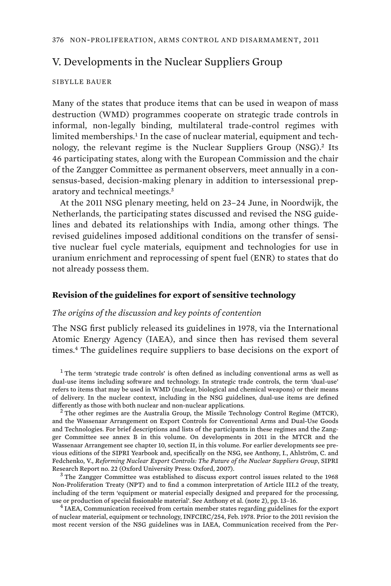# V. Developments in the Nuclear Suppliers Group

### SIBYLLE BAUER

Many of the states that produce items that can be used in weapon of mass destruction (WMD) programmes cooperate on strategic trade controls in informal, non-legally binding, multilateral trade-control regimes with limited memberships.<sup>1</sup> In the case of nuclear material, equipment and technology, the relevant regime is the Nuclear Suppliers Group (NSG).<sup>2</sup> Its 46 participating states, along with the European Commission and the chair of the Zangger Committee as permanent observers, meet annually in a consensus-based, decision-making plenary in addition to intersessional preparatory and technical meetings.<sup>3</sup>

At the 2011 NSG plenary meeting, held on 23–24 June, in Noordwijk, the Netherlands, the participating states discussed and revised the NSG guidelines and debated its relationships with India, among other things. The revised guidelines imposed additional conditions on the transfer of sensitive nuclear fuel cycle materials, equipment and technologies for use in uranium enrichment and reprocessing of spent fuel (ENR) to states that do not already possess them.

## **Revision of the guidelines for export of sensitive technology**

## *The origins of the discussion and key points of contention*

The NSG first publicly released its guidelines in 1978, via the International Atomic Energy Agency (IAEA), and since then has revised them several times.<sup>4</sup> The guidelines require suppliers to base decisions on the export of

<sup>1</sup> The term 'strategic trade controls' is often defined as including conventional arms as well as dual-use items including software and technology. In strategic trade controls, the term 'dual-use' refers to items that may be used in WMD (nuclear, biological and chemical weapons) or their means of delivery. In the nuclear context, including in the NSG guidelines, dual-use items are defined differently as those with both nuclear and non-nuclear applications. <sup>2</sup>

 $2$  The other regimes are the Australia Group, the Missile Technology Control Regime (MTCR), and the Wassenaar Arrangement on Export Controls for Conventional Arms and Dual-Use Goods and Technologies. For brief descriptions and lists of the participants in these regimes and the Zangger Committee see annex B in this volume. On developments in 2011 in the MTCR and the Wassenaar Arrangement see chapter 10, section II, in this volume. For earlier developments see previous editions of the SIPRI Yearbook and, specifically on the NSG, see Anthony, I., Ahlström, C. and Fedchenko, V., *Reforming Nuclear Export Controls: The Future of the Nuclear Suppliers Group*, SIPRI Research Report no. 22 (Oxford University Press: Oxford, 2007). <sup>3</sup>

<sup>3</sup> The Zangger Committee was established to discuss export control issues related to the 1968 Non-Proliferation Treaty (NPT) and to find a common interpretation of Article III.2 of the treaty, including of the term 'equipment or material especially designed and prepared for the processing, use or production of special fissionable material'. See Anthony et al. (note 2), pp. 13–16. <sup>4</sup>

<sup>4</sup> IAEA, Communication received from certain member states regarding guidelines for the export of nuclear material, equipment or technology, INFCIRC/254, Feb. 1978. Prior to the 2011 revision the most recent version of the NSG guidelines was in IAEA, Communication received from the Per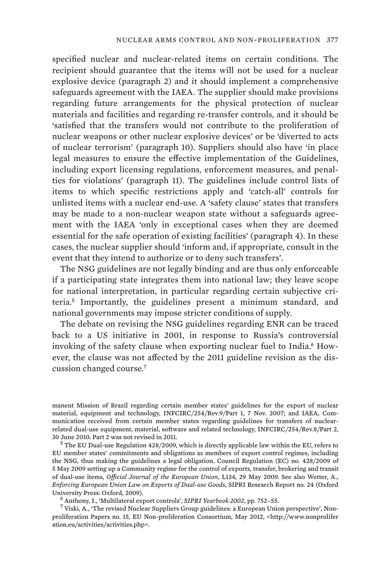specified nuclear and nuclear-related items on certain conditions. The recipient should guarantee that the items will not be used for a nuclear explosive device (paragraph 2) and it should implement a comprehensive safeguards agreement with the IAEA. The supplier should make provisions regarding future arrangements for the physical protection of nuclear materials and facilities and regarding re-transfer controls, and it should be 'satisfied that the transfers would not contribute to the proliferation of nuclear weapons or other nuclear explosive devices' or be 'diverted to acts of nuclear terrorism' (paragraph 10). Suppliers should also have 'in place legal measures to ensure the effective implementation of the Guidelines, including export licensing regulations, enforcement measures, and penalties for violations' (paragraph 11). The guidelines include control lists of items to which specific restrictions apply and 'catch-all' controls for unlisted items with a nuclear end-use. A 'safety clause' states that transfers may be made to a non-nuclear weapon state without a safeguards agreement with the IAEA 'only in exceptional cases when they are deemed essential for the safe operation of existing facilities' (paragraph 4). In these cases, the nuclear supplier should 'inform and, if appropriate, consult in the event that they intend to authorize or to deny such transfers'.

The NSG guidelines are not legally binding and are thus only enforceable if a participating state integrates them into national law; they leave scope for national interpretation, in particular regarding certain subjective criteria.<sup>5</sup> Importantly, the guidelines present a minimum standard, and national governments may impose stricter conditions of supply.

The debate on revising the NSG guidelines regarding ENR can be traced back to a US initiative in 2001, in response to Russia's controversial invoking of the safety clause when exporting nuclear fuel to India.6 However, the clause was not affected by the 2011 guideline revision as the discussion changed course.<sup>7</sup>

manent Mission of Brazil regarding certain member states' guidelines for the export of nuclear material, equipment and technology, INFCIRC/254/Rev.9/Part 1, 7 Nov. 2007; and IAEA, Communication received from certain member states regarding guidelines for transfers of nuclearrelated dual-use equipment, material, software and related technology, INFCIRC/254/Rev.8/Part 2,

30 June 2010. Part 2 was not revised in 2011. <sup>5</sup> The EU Dual-use Regulation 428/2009, which is directly applicable law within the EU, refers to EU member states' commitments and obligations as members of export control regimes, including the NSG, thus making the guidelines a legal obligation. Council Regulation (EC) no. 428/2009 of 5 May 2009 setting up a Community regime for the control of exports, transfer, brokering and transit of dual-use items, *Official Journal of the European Union*, L134, 29 May 2009. See also Wetter, A., *Enforcing European Union Law on Exports of Dual-use Goods*, SIPRI Research Report no. 24 (Oxford University Press: Oxford, 2009). <sup>6</sup>

Anthony, I., 'Multilateral export controls', *SIPRI Yearbook 2002*, pp. 752–55. <sup>7</sup>

<sup>7</sup> Viski, A., 'The revised Nuclear Suppliers Group guidelines: a European Union perspective', Nonproliferation Papers no. 15, EU Non-proliferation Consortium, May 2012, <http://www.nonprolifer ation.eu/activities/activities.php>.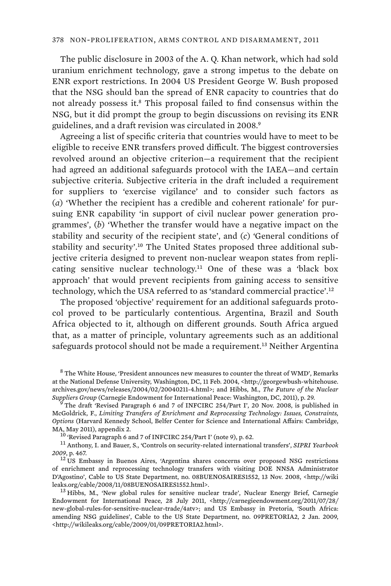The public disclosure in 2003 of the A. Q. Khan network, which had sold uranium enrichment technology, gave a strong impetus to the debate on ENR export restrictions. In 2004 US President George W. Bush proposed that the NSG should ban the spread of ENR capacity to countries that do not already possess it.<sup>8</sup> This proposal failed to find consensus within the NSG, but it did prompt the group to begin discussions on revising its ENR guidelines, and a draft revision was circulated in 2008.<sup>9</sup>

Agreeing a list of specific criteria that countries would have to meet to be eligible to receive ENR transfers proved difficult. The biggest controversies revolved around an objective criterion—a requirement that the recipient had agreed an additional safeguards protocol with the IAEA—and certain subjective criteria. Subjective criteria in the draft included a requirement for suppliers to 'exercise vigilance' and to consider such factors as (*a*) 'Whether the recipient has a credible and coherent rationale' for pursuing ENR capability 'in support of civil nuclear power generation programmes', (*b*) 'Whether the transfer would have a negative impact on the stability and security of the recipient state', and (*c*) 'General conditions of stability and security'.<sup>10</sup> The United States proposed three additional subjective criteria designed to prevent non-nuclear weapon states from replicating sensitive nuclear technology.<sup>11</sup> One of these was a 'black box approach' that would prevent recipients from gaining access to sensitive technology, which the USA referred to as 'standard commercial practice'.<sup>12</sup>

The proposed 'objective' requirement for an additional safeguards protocol proved to be particularly contentious. Argentina, Brazil and South Africa objected to it, although on different grounds. South Africa argued that, as a matter of principle, voluntary agreements such as an additional safeguards protocol should not be made a requirement.<sup>13</sup> Neither Argentina

 $^8$  The White House, 'President announces new measures to counter the threat of WMD', Remarks at the National Defense University, Washington, DC, 11 Feb. 2004, <http://georgewbush-whitehouse. archives.gov/news/releases/2004/02/20040211-4.html>; and Hibbs, M., *The Future of the Nuclear Suppliers Group* (Carnegie Endowment for International Peace: Washington, DC, 2011), p. 29.

The draft 'Revised Paragraph 6 and 7 of INFCIRC 254/Part I', 20 Nov. 2008, is published in McGoldrick, F., *Limiting Transfers of Enrichment and Reprocessing Technology: Issues, Constraints, Options* (Harvard Kennedy School, Belfer Center for Science and International Affairs: Cambridge,

MA, May 2011), appendix 2.<br><sup>10</sup> 'Revised Paragraph 6 and 7 of INFCIRC 254/Part I' (note 9), p. 62.<br><sup>11</sup> Anthony, I. and Bauer, S., 'Controls on security-related international transfers', *SIPRI Yearbook*<br>2009, p. 467.

<sup>&</sup>lt;sup>12</sup> US Embassy in Buenos Aires, 'Argentina shares concerns over proposed NSG restrictions of enrichment and reprocessing technology transfers with visiting DOE NNSA Administrator D'Agostino', Cable to US State Department, no. 08BUENOSAIRES1552, 13 Nov. 2008, <http://wiki leaks.org/cable/2008/11/08BUENOSAIRES1552.html>.<br><sup>13</sup> Hibbs, M., 'New global rules for sensitive nuclear trade', Nuclear Energy Brief, Carnegie

Endowment for International Peace, 28 July 2011, <http://carnegieendowment.org/2011/07/28/ new-global-rules-for-sensitive-nuclear-trade/4atv>; and US Embassy in Pretoria, 'South Africa: amending NSG guidelines', Cable to the US State Department, no. 09PRETORIA2, 2 Jan. 2009, <http://wikileaks.org/cable/2009/01/09PRETORIA2.html>.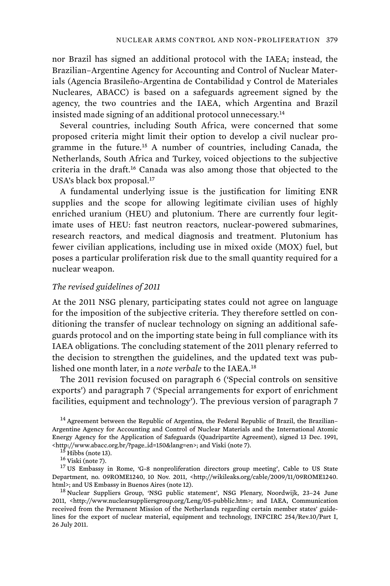nor Brazil has signed an additional protocol with the IAEA; instead, the Brazilian–Argentine Agency for Accounting and Control of Nuclear Materials (Agencia Brasileño-Argentina de Contabilidad y Control de Materiales Nucleares, ABACC) is based on a safeguards agreement signed by the agency, the two countries and the IAEA, which Argentina and Brazil insisted made signing of an additional protocol unnecessary.<sup>14</sup>

Several countries, including South Africa, were concerned that some proposed criteria might limit their option to develop a civil nuclear programme in the future.<sup>15</sup> A number of countries, including Canada, the Netherlands, South Africa and Turkey, voiced objections to the subjective criteria in the draft.<sup>16</sup> Canada was also among those that objected to the USA's black box proposal.<sup>17</sup>

A fundamental underlying issue is the justification for limiting ENR supplies and the scope for allowing legitimate civilian uses of highly enriched uranium (HEU) and plutonium. There are currently four legitimate uses of HEU: fast neutron reactors, nuclear-powered submarines, research reactors, and medical diagnosis and treatment. Plutonium has fewer civilian applications, including use in mixed oxide (MOX) fuel, but poses a particular proliferation risk due to the small quantity required for a nuclear weapon.

### *The revised guidelines of 2011*

At the 2011 NSG plenary, participating states could not agree on language for the imposition of the subjective criteria. They therefore settled on conditioning the transfer of nuclear technology on signing an additional safeguards protocol and on the importing state being in full compliance with its IAEA obligations. The concluding statement of the 2011 plenary referred to the decision to strengthen the guidelines, and the updated text was published one month later, in a *note verbale* to the IAEA.<sup>18</sup>

The 2011 revision focused on paragraph 6 ('Special controls on sensitive exports') and paragraph 7 ('Special arrangements for export of enrichment facilities, equipment and technology'). The previous version of paragraph 7

 $14$  Agreement between the Republic of Argentina, the Federal Republic of Brazil, the Brazilian– Argentine Agency for Accounting and Control of Nuclear Materials and the International Atomic Energy Agency for the Application of Safeguards (Quadripartite Agreement), signed 13 Dec. 1991,

%% <http://www.abacc.org.br/?page\_id=150&lang=en>; and Viski (note 7).  $15$  Hibbs (note 13).  $16$  Viski (note 7).  $17$  US Embassy in Rome, 'G-8 nonproliferation directors group meeting', Cable to US State  $17$  US Embassy Department, no. 09ROME1240, 10 Nov. 2011, <http://wikileaks.org/cable/2009/11/09ROME1240.<br>html>; and US Embassy in Buenos Aires (note 12).

<sup>18</sup> Nuclear Suppliers Group, 'NSG public statement', NSG Plenary, Noordwijk, 23-24 June 2011, <http://www.nuclearsuppliersgroup.org/Leng/05-pubblic.htm>; and IAEA, Communication received from the Permanent Mission of the Netherlands regarding certain member states' guidelines for the export of nuclear material, equipment and technology, INFCIRC 254/Rev.10/Part I, 26 July 2011.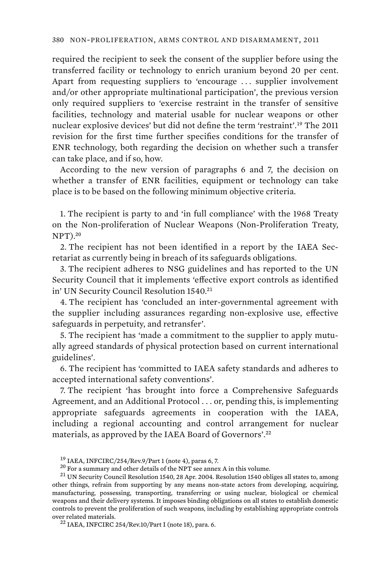required the recipient to seek the consent of the supplier before using the transferred facility or technology to enrich uranium beyond 20 per cent. Apart from requesting suppliers to 'encourage . . . supplier involvement and/or other appropriate multinational participation', the previous version only required suppliers to 'exercise restraint in the transfer of sensitive facilities, technology and material usable for nuclear weapons or other nuclear explosive devices' but did not define the term 'restraint'.<sup>19</sup> The 2011 revision for the first time further specifies conditions for the transfer of ENR technology, both regarding the decision on whether such a transfer can take place, and if so, how.

According to the new version of paragraphs 6 and 7, the decision on whether a transfer of ENR facilities, equipment or technology can take place is to be based on the following minimum objective criteria.

1. The recipient is party to and 'in full compliance' with the 1968 Treaty on the Non-proliferation of Nuclear Weapons (Non-Proliferation Treaty,  $NPT$ ).<sup>20</sup>

2. The recipient has not been identified in a report by the IAEA Secretariat as currently being in breach of its safeguards obligations.

3. The recipient adheres to NSG guidelines and has reported to the UN Security Council that it implements 'effective export controls as identified in' UN Security Council Resolution 1540.<sup>21</sup>

4. The recipient has 'concluded an inter-governmental agreement with the supplier including assurances regarding non-explosive use, effective safeguards in perpetuity, and retransfer'.

5. The recipient has 'made a commitment to the supplier to apply mutually agreed standards of physical protection based on current international guidelines'.

6. The recipient has 'committed to IAEA safety standards and adheres to accepted international safety conventions'.

7. The recipient 'has brought into force a Comprehensive Safeguards Agreement, and an Additional Protocol . . . or, pending this, is implementing appropriate safeguards agreements in cooperation with the IAEA, including a regional accounting and control arrangement for nuclear materials, as approved by the IAEA Board of Governors'.<sup>22</sup>

<sup>&</sup>lt;sup>19</sup> IAEA, INFCIRC/254/Rev.9/Part 1 (note 4), paras 6, 7.<br><sup>20</sup> For a summary and other details of the NPT see annex A in this volume.<br><sup>21</sup> UN Security Council Resolution 1540, 28 Apr. 2004. Resolution 1540 obliges all sta other things, refrain from supporting by any means non-state actors from developing, acquiring, manufacturing, possessing, transporting, transferring or using nuclear, biological or chemical weapons and their delivery systems. It imposes binding obligations on all states to establish domestic controls to prevent the proliferation of such weapons, including by establishing appropriate controls over related materials.<br><sup>22</sup> IAEA, INFCIRC 254/Rev.10/Part I (note 18), para. 6.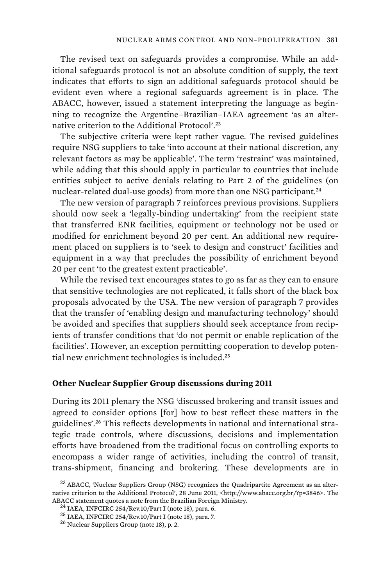The revised text on safeguards provides a compromise. While an additional safeguards protocol is not an absolute condition of supply, the text indicates that efforts to sign an additional safeguards protocol should be evident even where a regional safeguards agreement is in place. The ABACC, however, issued a statement interpreting the language as beginning to recognize the Argentine–Brazilian–IAEA agreement 'as an alternative criterion to the Additional Protocol'.<sup>23</sup>

The subjective criteria were kept rather vague. The revised guidelines require NSG suppliers to take 'into account at their national discretion, any relevant factors as may be applicable'. The term 'restraint' was maintained, while adding that this should apply in particular to countries that include entities subject to active denials relating to Part 2 of the guidelines (on nuclear-related dual-use goods) from more than one NSG participant.<sup>24</sup>

The new version of paragraph 7 reinforces previous provisions. Suppliers should now seek a 'legally-binding undertaking' from the recipient state that transferred ENR facilities, equipment or technology not be used or modified for enrichment beyond 20 per cent. An additional new requirement placed on suppliers is to 'seek to design and construct' facilities and equipment in a way that precludes the possibility of enrichment beyond 20 per cent 'to the greatest extent practicable'.

While the revised text encourages states to go as far as they can to ensure that sensitive technologies are not replicated, it falls short of the black box proposals advocated by the USA. The new version of paragraph 7 provides that the transfer of 'enabling design and manufacturing technology' should be avoided and specifies that suppliers should seek acceptance from recipients of transfer conditions that 'do not permit or enable replication of the facilities'. However, an exception permitting cooperation to develop potential new enrichment technologies is included.<sup>25</sup>

### **Other Nuclear Supplier Group discussions during 2011**

During its 2011 plenary the NSG 'discussed brokering and transit issues and agreed to consider options [for] how to best reflect these matters in the guidelines'.26 This reflects developments in national and international strategic trade controls, where discussions, decisions and implementation efforts have broadened from the traditional focus on controlling exports to encompass a wider range of activities, including the control of transit, trans-shipment, financing and brokering. These developments are in

<sup>&</sup>lt;sup>23</sup> ABACC, 'Nuclear Suppliers Group (NSG) recognizes the Quadripartite Agreement as an alternative criterion to the Additional Protocol', 28 June 2011, <http://www.abacc.org.br/?p=3846>. The ABACC statement quotes a note from the Brazilian Foreign Ministry.<br><sup>24</sup> IAEA, INFCIRC 254/Rev.10/Part I (note 18), para. 6.<br><sup>25</sup> IAEA, INFCIRC 254/Rev.10/Part I (note 18), para. 7.<br><sup>26</sup> Nuclear Suppliers Group (note 18),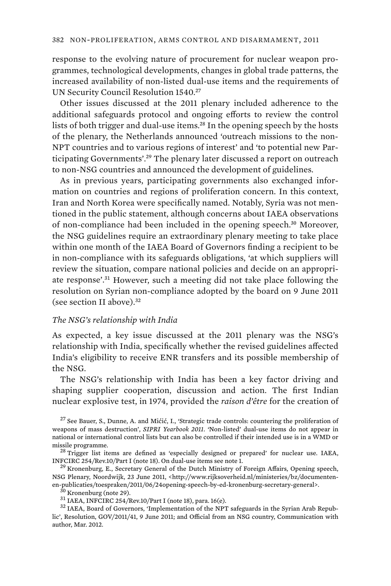response to the evolving nature of procurement for nuclear weapon programmes, technological developments, changes in global trade patterns, the increased availability of non-listed dual-use items and the requirements of UN Security Council Resolution 1540.<sup>27</sup>

Other issues discussed at the 2011 plenary included adherence to the additional safeguards protocol and ongoing efforts to review the control lists of both trigger and dual-use items.<sup>28</sup> In the opening speech by the hosts of the plenary, the Netherlands announced 'outreach missions to the non-NPT countries and to various regions of interest' and 'to potential new Participating Governments'.<sup>29</sup> The plenary later discussed a report on outreach to non-NSG countries and announced the development of guidelines.

As in previous years, participating governments also exchanged information on countries and regions of proliferation concern. In this context, Iran and North Korea were specifically named. Notably, Syria was not mentioned in the public statement, although concerns about IAEA observations of non-compliance had been included in the opening speech.<sup>30</sup> Moreover, the NSG guidelines require an extraordinary plenary meeting to take place within one month of the IAEA Board of Governors finding a recipient to be in non-compliance with its safeguards obligations, 'at which suppliers will review the situation, compare national policies and decide on an appropriate response'.<sup>31</sup> However, such a meeting did not take place following the resolution on Syrian non-compliance adopted by the board on 9 June 2011 (see section II above).<sup>32</sup>

#### *The NSG's relationship with India*

As expected, a key issue discussed at the 2011 plenary was the NSG's relationship with India, specifically whether the revised guidelines affected India's eligibility to receive ENR transfers and its possible membership of the NSG.

The NSG's relationship with India has been a key factor driving and shaping supplier cooperation, discussion and action. The first Indian nuclear explosive test, in 1974, provided the *raison d'être* for the creation of

 $27$  See Bauer, S., Dunne, A. and Mićić, I., 'Strategic trade controls: countering the proliferation of weapons of mass destruction', *SIPRI Yearbook 2011*. 'Non-listed' dual-use items do not appear in national or international control lists but can also be controlled if their intended use is in a WMD or missile programme.<br><sup>28</sup> Trigger list items are defined as 'especially designed or prepared' for nuclear use. IAEA,

INFCIRC 254/Rev.10/Part I (note 18). On dual-use items see note 1.<br><sup>29</sup> Kronenburg, E., Secretary General of the Dutch Ministry of Foreign Affairs, Opening speech,

NSG Plenary, Noordwijk, 23 June 2011, <http://www.rijksoverheid.nl/ministeries/bz/documentenen-publicaties/toespraken/2011/06/24<br>opening-speech-by-ed-kronenburg-secretary-general>. $^{30}$ Kronenburg (note 29).<br> $^{31}$  IAEA, INFCIRC 254/Rev.10/Part I (note 18), para. 16(e).<br> $^{31}$  IAEA, Board of Governors, 'Implemen

lic', Resolution, GOV/2011/41, 9 June 2011; and Official from an NSG country, Communication with author, Mar. 2012.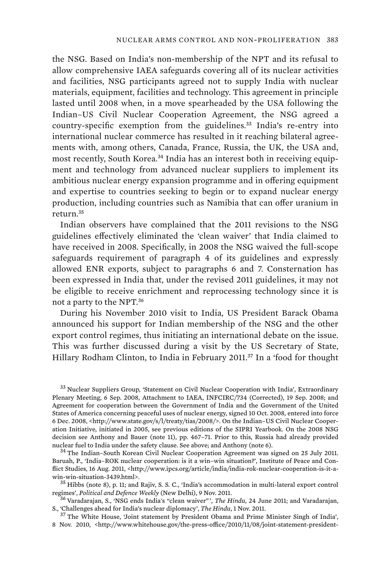the NSG. Based on India's non-membership of the NPT and its refusal to allow comprehensive IAEA safeguards covering all of its nuclear activities and facilities, NSG participants agreed not to supply India with nuclear materials, equipment, facilities and technology. This agreement in principle lasted until 2008 when, in a move spearheaded by the USA following the Indian–US Civil Nuclear Cooperation Agreement, the NSG agreed a country-specific exemption from the guidelines.<sup>33</sup> India's re-entry into international nuclear commerce has resulted in it reaching bilateral agreements with, among others, Canada, France, Russia, the UK, the USA and, most recently, South Korea.<sup>34</sup> India has an interest both in receiving equipment and technology from advanced nuclear suppliers to implement its ambitious nuclear energy expansion programme and in offering equipment and expertise to countries seeking to begin or to expand nuclear energy production, including countries such as Namibia that can offer uranium in return.<sup>35</sup>

Indian observers have complained that the 2011 revisions to the NSG guidelines effectively eliminated the 'clean waiver' that India claimed to have received in 2008. Specifically, in 2008 the NSG waived the full-scope safeguards requirement of paragraph 4 of its guidelines and expressly allowed ENR exports, subject to paragraphs 6 and 7. Consternation has been expressed in India that, under the revised 2011 guidelines, it may not be eligible to receive enrichment and reprocessing technology since it is not a party to the NPT.<sup>36</sup>

During his November 2010 visit to India, US President Barack Obama announced his support for Indian membership of the NSG and the other export control regimes, thus initiating an international debate on the issue. This was further discussed during a visit by the US Secretary of State, Hillary Rodham Clinton, to India in February 2011.<sup>37</sup> In a 'food for thought

<sup>33</sup> Nuclear Suppliers Group, 'Statement on Civil Nuclear Cooperation with India', Extraordinary Plenary Meeting, 6 Sep. 2008, Attachment to IAEA, INFCIRC/734 (Corrected), 19 Sep. 2008; and Agreement for cooperation between the Government of India and the Government of the United States of America concerning peaceful uses of nuclear energy, signed 10 Oct. 2008, entered into force 6 Dec. 2008, <http://www.state.gov/s/l/treaty/tias/2008/>. On the Indian–US Civil Nuclear Cooperation Initiative, initiated in 2005, see previous editions of the SIPRI Yearbook. On the 2008 NSG decision see Anthony and Bauer (note 11), pp. 467–71. Prior to this, Russia had already provided nuclear fuel to India under the safety clause. See above; and Anthony (note 6).<br><sup>34</sup> The Indian–South Korean Civil Nuclear Cooperation Agreement was signed on 25 July 2011.

Baruah, P., 'India–ROK nuclear cooperation: is it a win–win situation?', Institute of Peace and Conflict Studies, 16 Aug. 2011, <http://www.ipcs.org/article/india/india-rok-nuclear-cooperation-is-it-awin-win-situation-3439.html>. 35 Hibbs (note 8), p. 11; and Rajiv, S. S. C., 'India's accommodation in multi-lateral export control

regimes', *Political and Defence Weekly* (New Delhi), 9 Nov. 2011. 36 Varadarajan, S., 'NSG ends India's "clean waiver" ', *The Hindu*, 24 June 2011; and Varadarajan,

S., 'Challenges ahead for India's nuclear diplomacy', *The Hindu*, 1 Nov. 2011. 37 The White House, 'Joint statement by President Obama and Prime Minister Singh of India',

8 Nov. 2010, <http://www.whitehouse.gov/the-press-office/2010/11/08/joint-statement-president-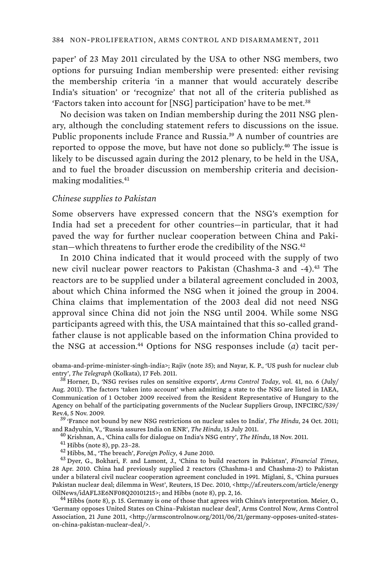paper' of 23 May 2011 circulated by the USA to other NSG members, two options for pursuing Indian membership were presented: either revising the membership criteria 'in a manner that would accurately describe India's situation' or 'recognize' that not all of the criteria published as 'Factors taken into account for [NSG] participation' have to be met.<sup>38</sup>

No decision was taken on Indian membership during the 2011 NSG plenary, although the concluding statement refers to discussions on the issue. Public proponents include France and Russia.<sup>39</sup> A number of countries are reported to oppose the move, but have not done so publicly.<sup>40</sup> The issue is likely to be discussed again during the 2012 plenary, to be held in the USA, and to fuel the broader discussion on membership criteria and decisionmaking modalities.<sup>41</sup>

#### *Chinese supplies to Pakistan*

Some observers have expressed concern that the NSG's exemption for India had set a precedent for other countries—in particular, that it had paved the way for further nuclear cooperation between China and Pakistan-which threatens to further erode the credibility of the NSG.<sup>42</sup>

In 2010 China indicated that it would proceed with the supply of two new civil nuclear power reactors to Pakistan (Chashma-3 and -4).<sup>43</sup> The reactors are to be supplied under a bilateral agreement concluded in 2003, about which China informed the NSG when it joined the group in 2004. China claims that implementation of the 2003 deal did not need NSG approval since China did not join the NSG until 2004. While some NSG participants agreed with this, the USA maintained that this so-called grandfather clause is not applicable based on the information China provided to the NSG at accession.44 Options for NSG responses include (*a*) tacit per-

Rev.4, 5 Nov. 2009. 39 'France not bound by new NSG restrictions on nuclear sales to India', *The Hindu*, 24 Oct. 2011; and Radyuhin, V., 'Russia assures India on ENR', *The Hindu*, 15 July 2011.<br><sup>40</sup> Krishnan, A., 'China calls for dialogue on India's NSG entry', *The Hindu*, 18 Nov. 2011.<br><sup>41</sup> Hibbs (note 8), pp. 23–28.<br><sup>42</sup> Hibbs, M., 'T

28 Apr. 2010. China had previously supplied 2 reactors (Chashma-1 and Chashma-2) to Pakistan under a bilateral civil nuclear cooperation agreement concluded in 1991. Miglani, S., 'China pursues Pakistan nuclear deal; dilemma in West', Reuters, 15 Dec. 2010, <http://af.reuters.com/article/energy OilNews/idAFL3E6NF08Q20101215>; and Hibbs (note 8), pp. 2, 16.<br><sup>44</sup> Hibbs (note 8), p. 15. Germany is one of those that agrees with China's interpretation. Meier, O.,

'Germany opposes United States on China–Pakistan nuclear deal', Arms Control Now, Arms Control Association, 21 June 2011, <http://armscontrolnow.org/2011/06/21/germany-opposes-united-stateson-china-pakistan-nuclear-deal/>.

obama-and-prime-minister-singh-india>; Rajiv (note 35); and Nayar, K. P., 'US push for nuclear club<br>entry', The Telegraph (Kolkata), 17 Feb. 2011.

 $^{38}$  Horner, D., 'NSG revises rules on sensitive exports', *Arms Control Today*, vol. 41, no. 6 (July/ Aug. 2011). The factors 'taken into account' when admitting a state to the NSG are listed in IAEA, Communication of 1 October 2009 received from the Resident Representative of Hungary to the Agency on behalf of the participating governments of the Nuclear Suppliers Group, INFCIRC/539/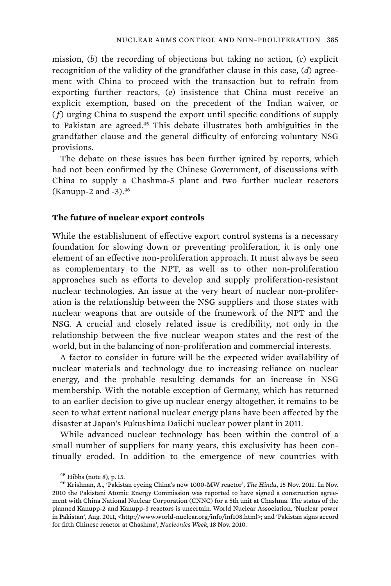mission, (*b*) the recording of objections but taking no action, (*c*) explicit recognition of the validity of the grandfather clause in this case, (*d*) agreement with China to proceed with the transaction but to refrain from exporting further reactors, (*e*) insistence that China must receive an explicit exemption, based on the precedent of the Indian waiver, or (*f*) urging China to suspend the export until specific conditions of supply to Pakistan are agreed.<sup>45</sup> This debate illustrates both ambiguities in the grandfather clause and the general difficulty of enforcing voluntary NSG provisions.

The debate on these issues has been further ignited by reports, which had not been confirmed by the Chinese Government, of discussions with China to supply a Chashma-5 plant and two further nuclear reactors (Kanupp-2 and -3).<sup>46</sup>

#### **The future of nuclear export controls**

While the establishment of effective export control systems is a necessary foundation for slowing down or preventing proliferation, it is only one element of an effective non-proliferation approach. It must always be seen as complementary to the NPT, as well as to other non-proliferation approaches such as efforts to develop and supply proliferation-resistant nuclear technologies. An issue at the very heart of nuclear non-proliferation is the relationship between the NSG suppliers and those states with nuclear weapons that are outside of the framework of the NPT and the NSG. A crucial and closely related issue is credibility, not only in the relationship between the five nuclear weapon states and the rest of the world, but in the balancing of non-proliferation and commercial interests.

A factor to consider in future will be the expected wider availability of nuclear materials and technology due to increasing reliance on nuclear energy, and the probable resulting demands for an increase in NSG membership. With the notable exception of Germany, which has returned to an earlier decision to give up nuclear energy altogether, it remains to be seen to what extent national nuclear energy plans have been affected by the disaster at Japan's Fukushima Daiichi nuclear power plant in 2011.

While advanced nuclear technology has been within the control of a small number of suppliers for many years, this exclusivity has been continually eroded. In addition to the emergence of new countries with

<sup>45</sup> Hibbs (note 8), p. 15. 46 Krishnan, A., 'Pakistan eyeing China's new 1000-MW reactor', *The Hindu*, 15 Nov. 2011. In Nov. 2010 the Pakistani Atomic Energy Commission was reported to have signed a construction agreement with China National Nuclear Corporation (CNNC) for a 5th unit at Chashma. The status of the planned Kanupp-2 and Kanupp-3 reactors is uncertain. World Nuclear Association, 'Nuclear power in Pakistan', Aug. 2011, <http://www.world-nuclear.org/info/inf108.html>; and 'Pakistan signs accord for fifth Chinese reactor at Chashma', *Nucleonics Week*, 18 Nov. 2010.